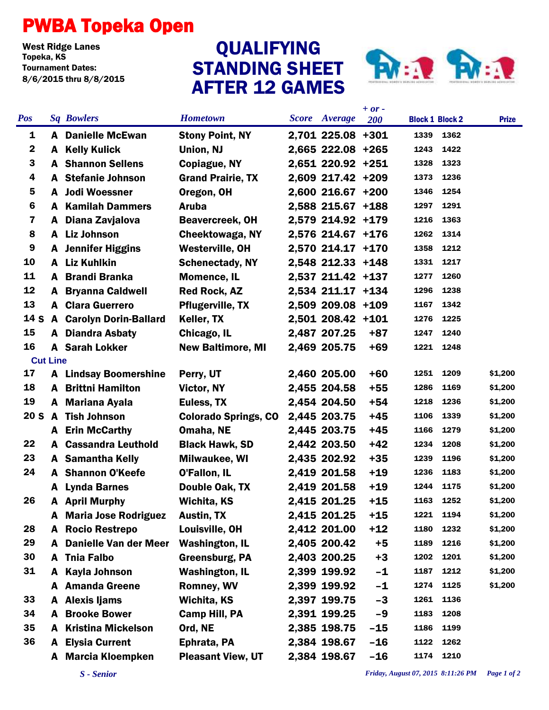## PWBA Topeka Open

West Ridge Lanes<br>Topeka, KS Tournament Dates: 8/6/2015 thru 8/8/2015

## STANDING SHEET AFTER 12 GAMES QUALIFYING



| <b>Pos</b>              |   | <b>Sq Bowlers</b>            | <b>Hometown</b>             | <b>Score</b> Average | $+ or -$<br>200 | <b>Block 1 Block 2</b> |           | <b>Prize</b> |
|-------------------------|---|------------------------------|-----------------------------|----------------------|-----------------|------------------------|-----------|--------------|
| 1                       |   | <b>A</b> Danielle McEwan     | <b>Stony Point, NY</b>      | 2,701 225.08 +301    |                 | 1339                   | 1362      |              |
| $\boldsymbol{2}$        | A | <b>Kelly Kulick</b>          | Union, NJ                   | 2,665 222.08 +265    |                 | 1243                   | 1422      |              |
| 3                       |   | <b>A</b> Shannon Sellens     | <b>Copiague, NY</b>         | 2,651 220.92 +251    |                 | 1328                   | 1323      |              |
| 4                       | A | <b>Stefanie Johnson</b>      | <b>Grand Prairie, TX</b>    | 2,609 217.42 +209    |                 | 1373                   | 1236      |              |
| $\overline{\mathbf{5}}$ | A | <b>Jodi Woessner</b>         | Oregon, OH                  | 2,600 216.67 +200    |                 | 1346                   | 1254      |              |
| 6                       | A | <b>Kamilah Dammers</b>       | <b>Aruba</b>                | 2,588 215.67 +188    |                 | 1297                   | 1291      |              |
| $\overline{\mathbf{z}}$ | A | Diana Zavjalova              | <b>Beavercreek, OH</b>      | 2,579 214.92 +179    |                 | 1216                   | 1363      |              |
| 8                       | A | <b>Liz Johnson</b>           | Cheektowaga, NY             | 2,576 214.67 +176    |                 | 1262                   | 1314      |              |
| $\boldsymbol{9}$        | A | <b>Jennifer Higgins</b>      | <b>Westerville, OH</b>      | 2,570 214.17 +170    |                 | 1358                   | 1212      |              |
| 10                      | A | <b>Liz Kuhlkin</b>           | <b>Schenectady, NY</b>      | 2,548 212.33 +148    |                 | 1331                   | 1217      |              |
| 11                      | A | <b>Brandi Branka</b>         | <b>Momence, IL</b>          | 2,537 211.42 +137    |                 | 1277                   | 1260      |              |
| 12                      | A | <b>Bryanna Caldwell</b>      | <b>Red Rock, AZ</b>         | 2,534 211.17 +134    |                 | 1296                   | 1238      |              |
| 13                      |   | <b>A</b> Clara Guerrero      | <b>Pflugerville, TX</b>     | 2,509 209.08 +109    |                 | 1167                   | 1342      |              |
| 14 S                    | A | <b>Carolyn Dorin-Ballard</b> | Keller, TX                  | 2,501 208.42 +101    |                 | 1276                   | 1225      |              |
| 15                      | A | <b>Diandra Asbaty</b>        | Chicago, IL                 | 2,487 207.25         | $+87$           | 1247                   | 1240      |              |
| 16                      |   | <b>A</b> Sarah Lokker        | <b>New Baltimore, MI</b>    | 2,469 205.75         | $+69$           | 1221                   | 1248      |              |
| <b>Cut Line</b>         |   |                              |                             |                      |                 |                        |           |              |
| 17                      |   | <b>A</b> Lindsay Boomershine | Perry, UT                   | 2,460 205.00         | $+60$           | 1251                   | 1209      | \$1,200      |
| 18                      | A | <b>Brittni Hamilton</b>      | Victor, NY                  | 2,455 204.58         | $+55$           | 1286                   | 1169      | \$1,200      |
| 19                      | A | <b>Mariana Ayala</b>         | Euless, TX                  | 2,454 204.50         | $+54$           | 1218                   | 1236      | \$1,200      |
| 20 <sub>S</sub>         | A | <b>Tish Johnson</b>          | <b>Colorado Springs, CO</b> | 2,445 203.75         | $+45$           | 1106                   | 1339      | \$1,200      |
|                         | A | <b>Erin McCarthy</b>         | Omaha, NE                   | 2,445 203.75         | $+45$           | 1166                   | 1279      | \$1,200      |
| 22                      | A | <b>Cassandra Leuthold</b>    | <b>Black Hawk, SD</b>       | 2,442 203.50         | $+42$           | 1234                   | 1208      | \$1,200      |
| 23                      |   | <b>A</b> Samantha Kelly      | Milwaukee, WI               | 2,435 202.92         | $+35$           | 1239                   | 1196      | \$1,200      |
| 24                      | A | <b>Shannon O'Keefe</b>       | <b>O'Fallon, IL</b>         | 2,419 201.58         | $+19$           | 1236                   | 1183      | \$1,200      |
|                         | A | <b>Lynda Barnes</b>          | Double Oak, TX              | 2,419 201.58         | $+19$           | 1244                   | 1175      | \$1,200      |
| 26                      |   | A April Murphy               | Wichita, KS                 | 2,415 201.25         | $+15$           | 1163                   | 1252      | \$1,200      |
|                         | A | <b>Maria Jose Rodriguez</b>  | <b>Austin, TX</b>           | 2,415 201.25         | $+15$           | 1221                   | 1194      | \$1,200      |
| 28                      | A | <b>Rocio Restrepo</b>        | Louisville, OH              | 2,412 201.00         | $+12$           | 1180                   | 1232      | \$1,200      |
| 29                      | A | <b>Danielle Van der Meer</b> | <b>Washington, IL</b>       | 2,405 200.42         | $+5$            | 1189                   | 1216      | \$1,200      |
| 30                      | A | <b>Tnia Falbo</b>            | Greensburg, PA              | 2,403 200.25         | $+3$            | 1202                   | 1201      | \$1,200      |
| 31                      | A | <b>Kayla Johnson</b>         | <b>Washington, IL</b>       | 2,399 199.92         | $-1$            | 1187                   | 1212      | \$1,200      |
|                         | A | <b>Amanda Greene</b>         | <b>Romney, WV</b>           | 2,399 199.92         | $-1$            | 1274                   | 1125      | \$1,200      |
| 33                      | A | <b>Alexis ljams</b>          | <b>Wichita, KS</b>          | 2,397 199.75         | $-3$            | 1261                   | 1136      |              |
| 34                      | A | <b>Brooke Bower</b>          | <b>Camp Hill, PA</b>        | 2,391 199.25         | $-9$            | 1183                   | 1208      |              |
| 35                      | A | <b>Kristina Mickelson</b>    | Ord, NE                     | 2,385 198.75         | $-15$           | 1186                   | 1199      |              |
| 36                      | A | <b>Elysia Current</b>        | Ephrata, PA                 | 2,384 198.67         | $-16$           | 1122                   | 1262      |              |
|                         | A | <b>Marcia Kloempken</b>      | <b>Pleasant View, UT</b>    | 2,384 198.67         | $-16$           |                        | 1174 1210 |              |